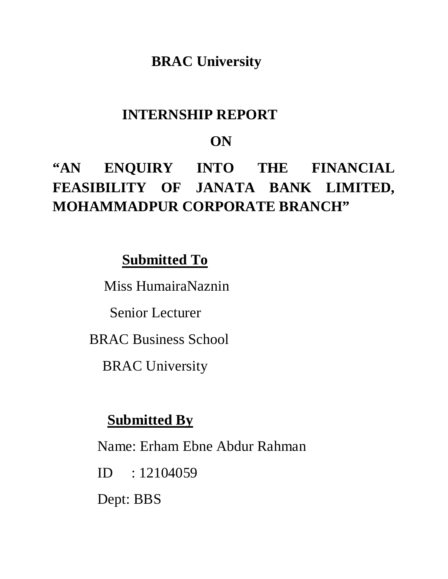# **BRAC University**

# **INTERNSHIP REPORT**

# **ON**

# **"AN ENQUIRY INTO THE FINANCIAL FEASIBILITY OF JANATA BANK LIMITED, MOHAMMADPUR CORPORATE BRANCH"**

# **Submitted To**

Miss HumairaNaznin

Senior Lecturer

BRAC Business School

BRAC University

# **Submitted By**

Name: Erham Ebne Abdur Rahman

ID : 12104059

Dept: BBS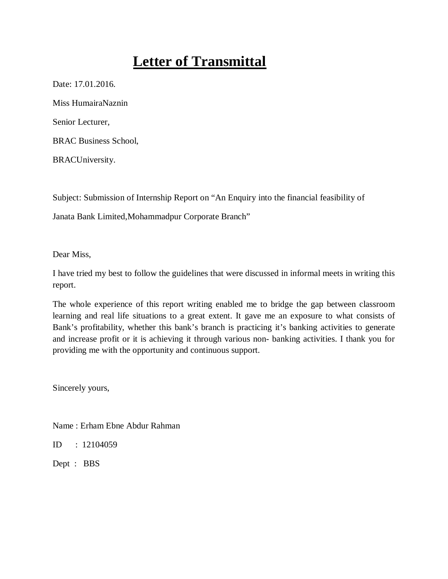# **Letter of Transmittal**

Date: 17.01.2016.

Miss HumairaNaznin

Senior Lecturer,

BRAC Business School,

BRACUniversity.

Subject: Submission of Internship Report on "An Enquiry into the financial feasibility of

Janata Bank Limited,Mohammadpur Corporate Branch"

Dear Miss,

I have tried my best to follow the guidelines that were discussed in informal meets in writing this report.

The whole experience of this report writing enabled me to bridge the gap between classroom learning and real life situations to a great extent. It gave me an exposure to what consists of Bank's profitability, whether this bank's branch is practicing it's banking activities to generate and increase profit or it is achieving it through various non- banking activities. I thank you for providing me with the opportunity and continuous support.

Sincerely yours,

Name : Erham Ebne Abdur Rahman

ID : 12104059

Dept : BBS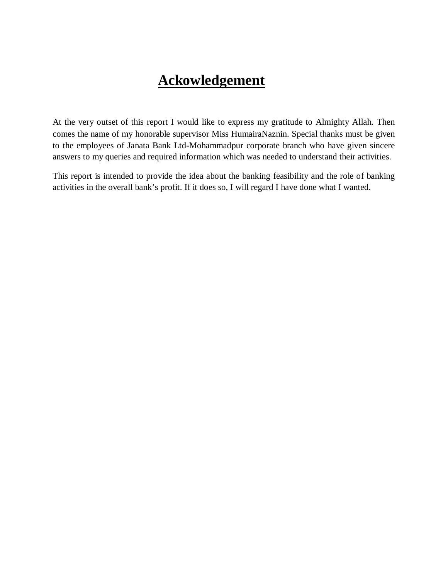# **Ackowledgement**

At the very outset of this report I would like to express my gratitude to Almighty Allah. Then comes the name of my honorable supervisor Miss HumairaNaznin. Special thanks must be given to the employees of Janata Bank Ltd-Mohammadpur corporate branch who have given sincere answers to my queries and required information which was needed to understand their activities.

This report is intended to provide the idea about the banking feasibility and the role of banking activities in the overall bank's profit. If it does so, I will regard I have done what I wanted.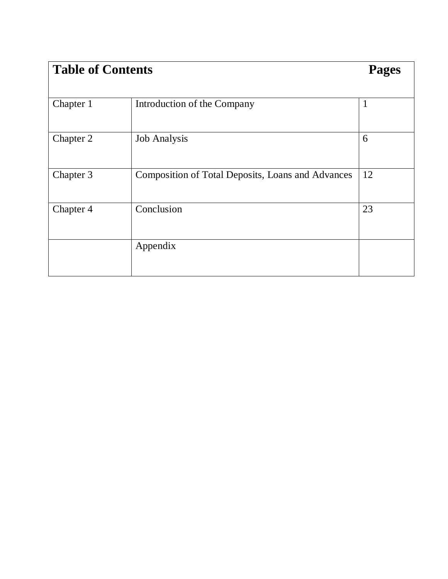| <b>Table of Contents</b> | <b>Pages</b>                                      |              |
|--------------------------|---------------------------------------------------|--------------|
|                          |                                                   |              |
| Chapter 1                | Introduction of the Company                       | $\mathbf{1}$ |
| Chapter 2                | <b>Job Analysis</b>                               | 6            |
| Chapter 3                | Composition of Total Deposits, Loans and Advances | 12           |
| Chapter 4                | Conclusion                                        | 23           |
|                          | Appendix                                          |              |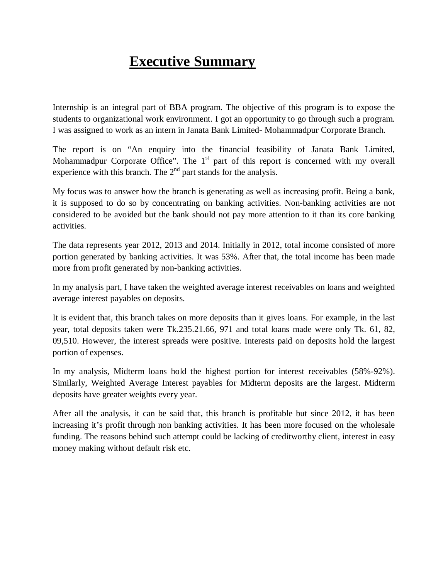# **Executive Summary**

Internship is an integral part of BBA program. The objective of this program is to expose the students to organizational work environment. I got an opportunity to go through such a program. I was assigned to work as an intern in Janata Bank Limited- Mohammadpur Corporate Branch.

The report is on "An enquiry into the financial feasibility of Janata Bank Limited, Mohammadpur Corporate Office". The  $1<sup>st</sup>$  part of this report is concerned with my overall experience with this branch. The  $2<sup>nd</sup>$  part stands for the analysis.

My focus was to answer how the branch is generating as well as increasing profit. Being a bank, it is supposed to do so by concentrating on banking activities. Non-banking activities are not considered to be avoided but the bank should not pay more attention to it than its core banking activities.

The data represents year 2012, 2013 and 2014. Initially in 2012, total income consisted of more portion generated by banking activities. It was 53%. After that, the total income has been made more from profit generated by non-banking activities.

In my analysis part, I have taken the weighted average interest receivables on loans and weighted average interest payables on deposits.

It is evident that, this branch takes on more deposits than it gives loans. For example, in the last year, total deposits taken were Tk.235.21.66, 971 and total loans made were only Tk. 61, 82, 09,510. However, the interest spreads were positive. Interests paid on deposits hold the largest portion of expenses.

In my analysis, Midterm loans hold the highest portion for interest receivables (58%-92%). Similarly, Weighted Average Interest payables for Midterm deposits are the largest. Midterm deposits have greater weights every year.

After all the analysis, it can be said that, this branch is profitable but since 2012, it has been increasing it's profit through non banking activities. It has been more focused on the wholesale funding. The reasons behind such attempt could be lacking of creditworthy client, interest in easy money making without default risk etc.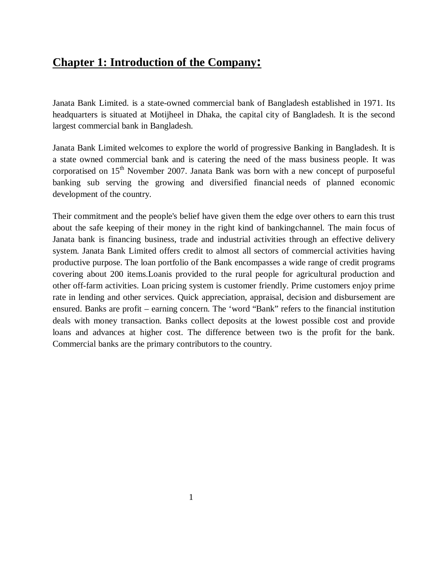## **Chapter 1: Introduction of the Company:**

Janata Bank Limited. is a state-owned commercial bank of Bangladesh established in 1971. Its headquarters is situated at Motijheel in Dhaka, the capital city of Bangladesh. It is the second largest commercial bank in Bangladesh.

Janata Bank Limited welcomes to explore the world of progressive Banking in Bangladesh. It is a state owned commercial bank and is catering the need of the mass business people. It was corporatised on  $15<sup>th</sup>$  November 2007. Janata Bank was born with a new concept of purposeful banking sub serving the growing and diversified financial needs of planned economic development of the country.

Their commitment and the people's belief have given them the edge over others to earn this trust about the safe keeping of their money in the right kind of bankingchannel. The main focus of Janata bank is financing business, trade and industrial activities through an effective delivery system. Janata Bank Limited offers credit to almost all sectors of commercial activities having productive purpose. The loan portfolio of the Bank encompasses a wide range of credit programs covering about 200 items.Loanis provided to the rural people for agricultural production and other off-farm activities. Loan pricing system is customer friendly. Prime customers enjoy prime rate in lending and other services. Quick appreciation, appraisal, decision and disbursement are ensured. Banks are profit – earning concern. The 'word "Bank" refers to the financial institution deals with money transaction. Banks collect deposits at the lowest possible cost and provide loans and advances at higher cost. The difference between two is the profit for the bank. Commercial banks are the primary contributors to the country.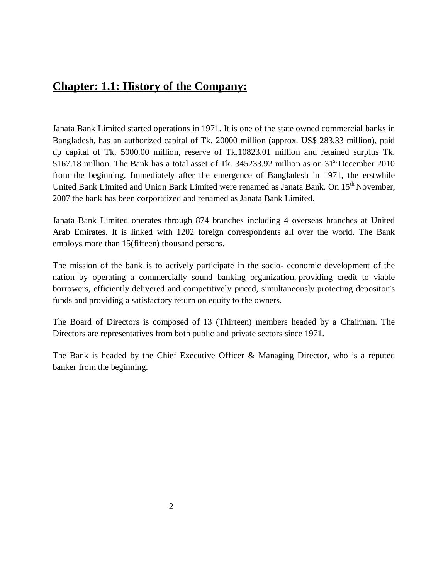## **Chapter: 1.1: History of the Company:**

Janata Bank Limited started operations in 1971. It is one of the state owned commercial banks in Bangladesh, has an authorized capital of Tk. 20000 million (approx. US\$ 283.33 million), paid up capital of Tk. 5000.00 million, reserve of Tk.10823.01 million and retained surplus Tk. 5167.18 million. The Bank has a total asset of Tk. 345233.92 million as on 31<sup>st</sup> December 2010 from the beginning. Immediately after the emergence of Bangladesh in 1971, the erstwhile United Bank Limited and Union Bank Limited were renamed as Janata Bank. On 15<sup>th</sup> November, 2007 the bank has been corporatized and renamed as Janata Bank Limited.

Janata Bank Limited operates through 874 branches including 4 overseas branches at United Arab Emirates. It is linked with 1202 foreign correspondents all over the world. The Bank employs more than 15(fifteen) thousand persons.

The mission of the bank is to actively participate in the socio- economic development of the nation by operating a commercially sound banking organization, providing credit to viable borrowers, efficiently delivered and competitively priced, simultaneously protecting depositor's funds and providing a satisfactory return on equity to the owners.

The Board of Directors is composed of 13 (Thirteen) members headed by a Chairman. The Directors are representatives from both public and private sectors since 1971.

The Bank is headed by the Chief Executive Officer & Managing Director, who is a reputed banker from the beginning.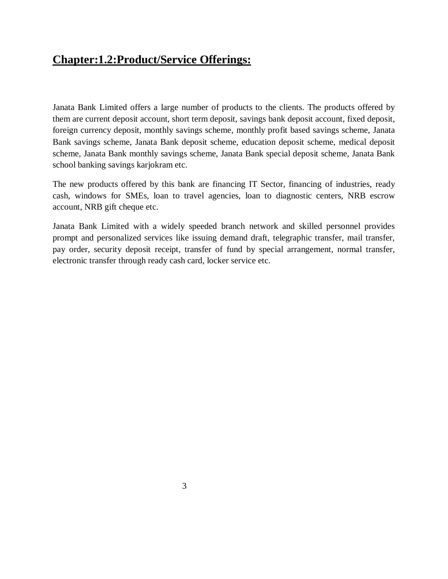## **Chapter:1.2:Product/Service Offerings:**

Janata Bank Limited offers a large number of products to the clients. The products offered by them are current deposit account, short term deposit, savings bank deposit account, fixed deposit, foreign currency deposit, monthly savings scheme, monthly profit based savings scheme, Janata Bank savings scheme, Janata Bank deposit scheme, education deposit scheme, medical deposit scheme, Janata Bank monthly savings scheme, Janata Bank special deposit scheme, Janata Bank school banking savings karjokram etc.

The new products offered by this bank are financing IT Sector, financing of industries, ready cash, windows for SMEs, loan to travel agencies, loan to diagnostic centers, NRB escrow account, NRB gift cheque etc.

Janata Bank Limited with a widely speeded branch network and skilled personnel provides prompt and personalized services like issuing demand draft, telegraphic transfer, mail transfer, pay order, security deposit receipt, transfer of fund by special arrangement, normal transfer, electronic transfer through ready cash card, locker service etc.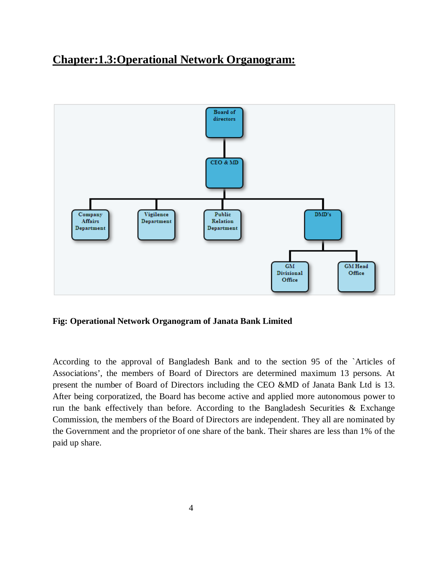## **Chapter:1.3:Operational Network Organogram:**



#### **Fig: Operational Network Organogram of Janata Bank Limited**

According to the approval of Bangladesh Bank and to the section 95 of the `Articles of Associations', the members of Board of Directors are determined maximum 13 persons. At present the number of Board of Directors including the CEO &MD of Janata Bank Ltd is 13. After being corporatized, the Board has become active and applied more autonomous power to run the bank effectively than before. According to the Bangladesh Securities  $\&$  Exchange Commission, the members of the Board of Directors are independent. They all are nominated by the Government and the proprietor of one share of the bank. Their shares are less than 1% of the paid up share.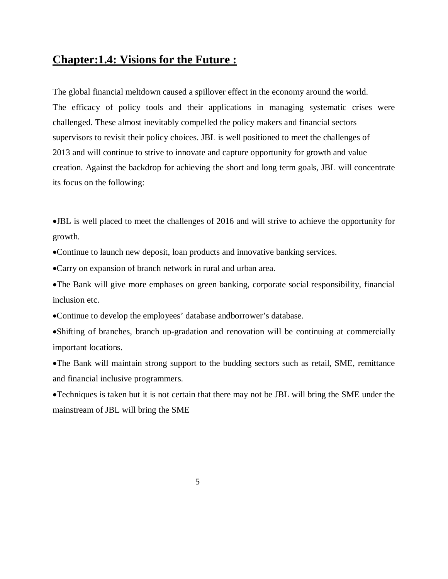## **Chapter:1.4: Visions for the Future :**

The global financial meltdown caused a spillover effect in the economy around the world. The efficacy of policy tools and their applications in managing systematic crises were challenged. These almost inevitably compelled the policy makers and financial sectors supervisors to revisit their policy choices. JBL is well positioned to meet the challenges of 2013 and will continue to strive to innovate and capture opportunity for growth and value creation. Against the backdrop for achieving the short and long term goals, JBL will concentrate its focus on the following:

•JBL is well placed to meet the challenges of 2016 and will strive to achieve the opportunity for growth.

•Continue to launch new deposit, loan products and innovative banking services.

•Carry on expansion of branch network in rural and urban area.

•The Bank will give more emphases on green banking, corporate social responsibility, financial inclusion etc.

•Continue to develop the employees' database andborrower's database.

•Shifting of branches, branch up-gradation and renovation will be continuing at commercially important locations.

•The Bank will maintain strong support to the budding sectors such as retail, SME, remittance and financial inclusive programmers.

•Techniques is taken but it is not certain that there may not be JBL will bring the SME under the mainstream of JBL will bring the SME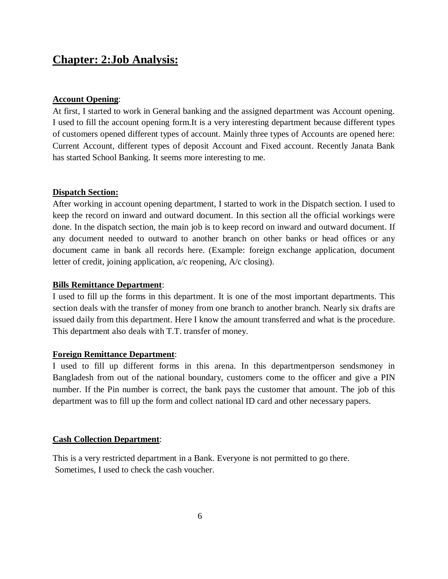## **Chapter: 2:Job Analysis:**

#### **Account Opening**:

At first, I started to work in General banking and the assigned department was Account opening. I used to fill the account opening form.It is a very interesting department because different types of customers opened different types of account. Mainly three types of Accounts are opened here: Current Account, different types of deposit Account and Fixed account. Recently Janata Bank has started School Banking. It seems more interesting to me.

#### **Dispatch Section:**

After working in account opening department, I started to work in the Dispatch section. I used to keep the record on inward and outward document. In this section all the official workings were done. In the dispatch section, the main job is to keep record on inward and outward document. If any document needed to outward to another branch on other banks or head offices or any document came in bank all records here. (Example: foreign exchange application, document letter of credit, joining application, a/c reopening, A/c closing).

#### **Bills Remittance Department**:

I used to fill up the forms in this department. It is one of the most important departments. This section deals with the transfer of money from one branch to another branch. Nearly six drafts are issued daily from this department. Here I know the amount transferred and what is the procedure. This department also deals with T.T. transfer of money.

#### **Foreign Remittance Department**:

I used to fill up different forms in this arena. In this departmentperson sendsmoney in Bangladesh from out of the national boundary, customers come to the officer and give a PIN number. If the Pin number is correct, the bank pays the customer that amount. The job of this department was to fill up the form and collect national ID card and other necessary papers.

#### **Cash Collection Department**:

This is a very restricted department in a Bank. Everyone is not permitted to go there. Sometimes, I used to check the cash voucher.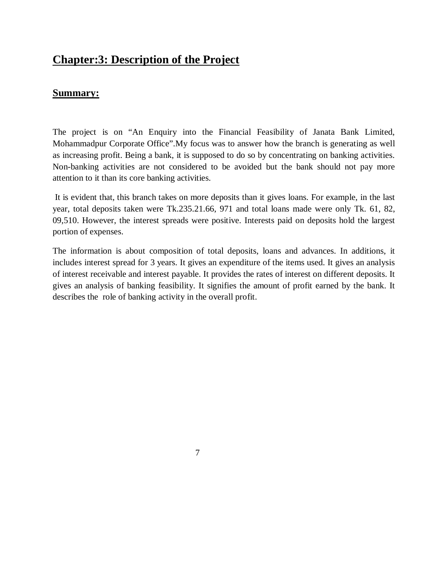## **Chapter:3: Description of the Project**

7

### **Summary:**

The project is on "An Enquiry into the Financial Feasibility of Janata Bank Limited, Mohammadpur Corporate Office".My focus was to answer how the branch is generating as well as increasing profit. Being a bank, it is supposed to do so by concentrating on banking activities. Non-banking activities are not considered to be avoided but the bank should not pay more attention to it than its core banking activities.

It is evident that, this branch takes on more deposits than it gives loans. For example, in the last year, total deposits taken were Tk.235.21.66, 971 and total loans made were only Tk. 61, 82, 09,510. However, the interest spreads were positive. Interests paid on deposits hold the largest portion of expenses.

The information is about composition of total deposits, loans and advances. In additions, it includes interest spread for 3 years. It gives an expenditure of the items used. It gives an analysis of interest receivable and interest payable. It provides the rates of interest on different deposits. It gives an analysis of banking feasibility. It signifies the amount of profit earned by the bank. It describes the role of banking activity in the overall profit.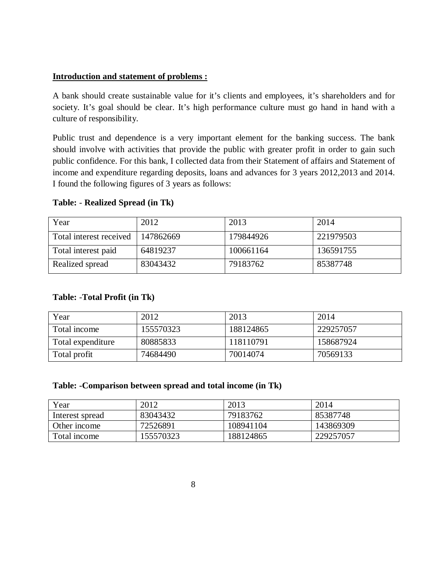#### **Introduction and statement of problems :**

A bank should create sustainable value for it's clients and employees, it's shareholders and for society. It's goal should be clear. It's high performance culture must go hand in hand with a culture of responsibility.

Public trust and dependence is a very important element for the banking success. The bank should involve with activities that provide the public with greater profit in order to gain such public confidence. For this bank, I collected data from their Statement of affairs and Statement of income and expenditure regarding deposits, loans and advances for 3 years 2012,2013 and 2014. I found the following figures of 3 years as follows:

#### **Table:** - **Realized Spread (in Tk)**

| Year                    | 2012      | 2013      | 2014      |
|-------------------------|-----------|-----------|-----------|
| Total interest received | 147862669 | 179844926 | 221979503 |
| Total interest paid     | 64819237  | 100661164 | 136591755 |
| Realized spread         | 83043432  | 79183762  | 85387748  |

#### **Table:** -**Total Profit (in Tk)**

| Year              | 2012      | 2013      | 2014      |
|-------------------|-----------|-----------|-----------|
| Total income      | 155570323 | 188124865 | 229257057 |
| Total expenditure | 80885833  | 118110791 | 158687924 |
| Total profit      | 74684490  | 70014074  | 70569133  |

#### **Table: -Comparison between spread and total income (in Tk)**

| Year            | 2012      | 2013      | 2014      |
|-----------------|-----------|-----------|-----------|
| Interest spread | 83043432  | 79183762  | 85387748  |
| Other income    | 72526891  | 108941104 | 143869309 |
| Total income    | 155570323 | 188124865 | 229257057 |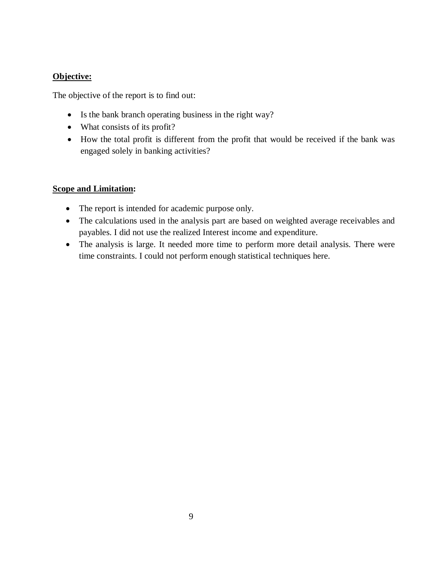### **Objective:**

The objective of the report is to find out:

- Is the bank branch operating business in the right way?
- What consists of its profit?
- How the total profit is different from the profit that would be received if the bank was engaged solely in banking activities?

### **Scope and Limitation:**

- The report is intended for academic purpose only.
- The calculations used in the analysis part are based on weighted average receivables and payables. I did not use the realized Interest income and expenditure.
- The analysis is large. It needed more time to perform more detail analysis. There were time constraints. I could not perform enough statistical techniques here.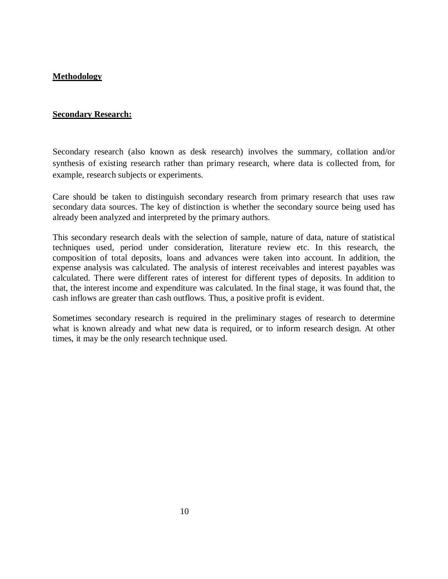#### **Methodology**

#### **Secondary Research:**

Secondary research (also known as desk research) involves the summary, collation and/or synthesis of existing research rather than primary research, where data is collected from, for example, research subjects or experiments.

Care should be taken to distinguish secondary research from primary research that uses raw secondary data sources. The key of distinction is whether the secondary source being used has already been analyzed and interpreted by the primary authors.

This secondary research deals with the selection of sample, nature of data, nature of statistical techniques used, period under consideration, literature review etc. In this research, the composition of total deposits, loans and advances were taken into account. In addition, the expense analysis was calculated. The analysis of interest receivables and interest payables was calculated. There were different rates of interest for different types of deposits. In addition to that, the interest income and expenditure was calculated. In the final stage, it was found that, the cash inflows are greater than cash outflows. Thus, a positive profit is evident.

Sometimes secondary research is required in the preliminary stages of research to determine what is known already and what new data is required, or to inform research design. At other times, it may be the only research technique used.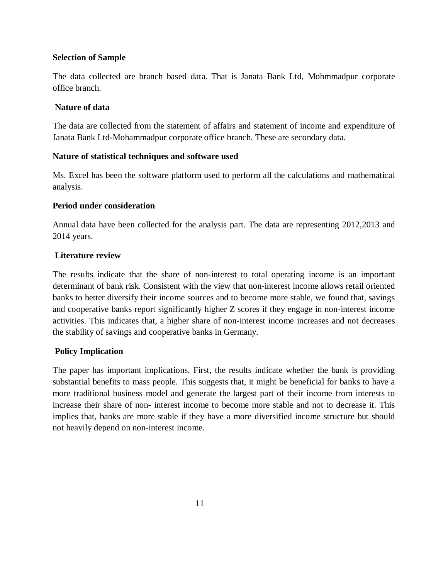#### **Selection of Sample**

The data collected are branch based data. That is Janata Bank Ltd, Mohmmadpur corporate office branch.

#### **Nature of data**

The data are collected from the statement of affairs and statement of income and expenditure of Janata Bank Ltd-Mohammadpur corporate office branch. These are secondary data.

#### **Nature of statistical techniques and software used**

Ms. Excel has been the software platform used to perform all the calculations and mathematical analysis.

#### **Period under consideration**

Annual data have been collected for the analysis part. The data are representing 2012,2013 and 2014 years.

#### **Literature review**

The results indicate that the share of non-interest to total operating income is an important determinant of bank risk. Consistent with the view that non-interest income allows retail oriented banks to better diversify their income sources and to become more stable, we found that, savings and cooperative banks report significantly higher Z scores if they engage in non-interest income activities. This indicates that, a higher share of non-interest income increases and not decreases the stability of savings and cooperative banks in Germany.

#### **Policy Implication**

The paper has important implications. First, the results indicate whether the bank is providing substantial benefits to mass people. This suggests that, it might be beneficial for banks to have a more traditional business model and generate the largest part of their income from interests to increase their share of non- interest income to become more stable and not to decrease it. This implies that, banks are more stable if they have a more diversified income structure but should not heavily depend on non-interest income.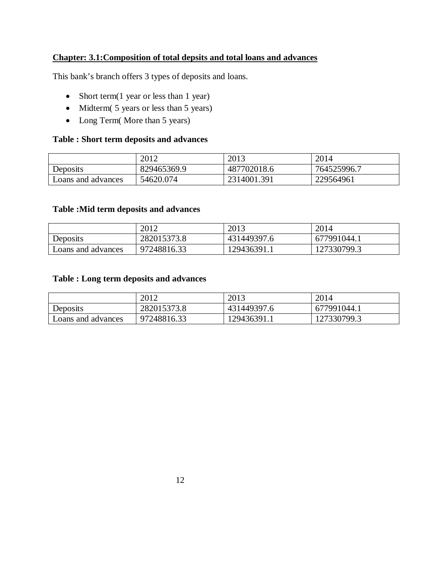### **Chapter: 3.1:Composition of total depsits and total loans and advances**

This bank's branch offers 3 types of deposits and loans.

- Short term(1 year or less than 1 year)
- Midterm( 5 years or less than 5 years)
- Long Term(More than 5 years)

#### **Table : Short term deposits and advances**

|                    | 2012        | 2013        | 2014        |
|--------------------|-------------|-------------|-------------|
| Deposits           | 829465369.9 | 487702018.6 | 764525996.7 |
| Loans and advances | 54620.074   | 2314001.391 | 229564961   |

#### **Table :Mid term deposits and advances**

|                    | 2012        | 2013        | 2014        |
|--------------------|-------------|-------------|-------------|
| Deposits           | 282015373.8 | 431449397.6 | 677991044.1 |
| Loans and advances | 97248816.33 | 129436391.1 | 127330799.3 |

#### **Table : Long term deposits and advances**

|                    | 2012        | 2013        | 2014        |
|--------------------|-------------|-------------|-------------|
| Deposits           | 282015373.8 | 431449397.6 | 677991044.1 |
| Loans and advances | 97248816.33 | 129436391.1 | 127330799.3 |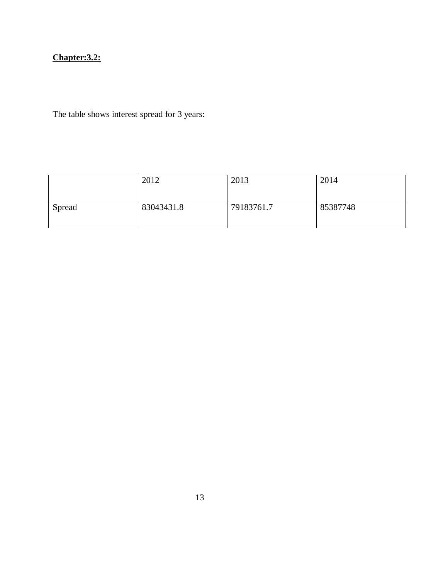## **Chapter:3.2:**

The table shows interest spread for 3 years:

|        | 2012       | 2013       | 2014     |
|--------|------------|------------|----------|
| Spread | 83043431.8 | 79183761.7 | 85387748 |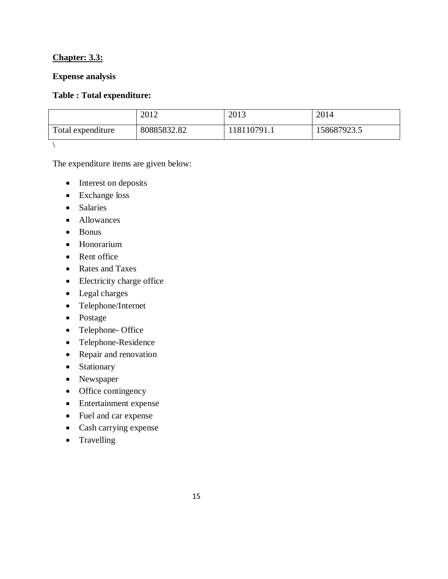#### **Chapter: 3.3:**

#### **Expense analysis**

#### **Table : Total expenditure:**

|                   | 2012        | 2013       | 2014        |
|-------------------|-------------|------------|-------------|
| Total expenditure | 80885832.82 | 18110791.1 | 158687923.5 |
|                   |             |            |             |

The expenditure items are given below:

- Interest on deposits
- Exchange loss
- Salaries
- Allowances
- Bonus
- Honorarium
- Rent office
- Rates and Taxes
- Electricity charge office
- Legal charges
- Telephone/Internet
- Postage
- Telephone- Office
- Telephone-Residence
- Repair and renovation
- Stationary
- Newspaper
- Office contingency
- Entertainment expense
- Fuel and car expense
- Cash carrying expense
- Travelling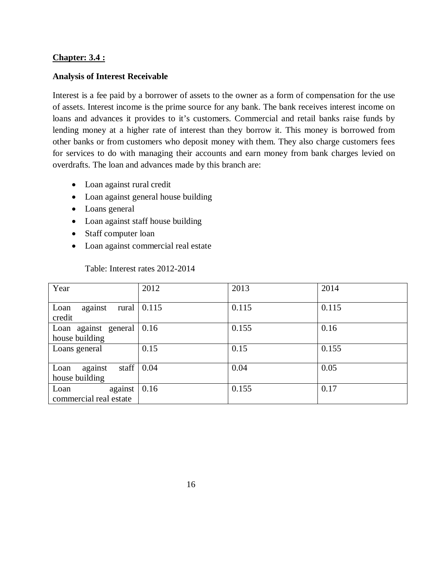#### **Chapter: 3.4 :**

#### **Analysis of Interest Receivable**

Interest is a fee paid by a borrower of assets to the owner as a form of compensation for the use of assets. Interest income is the prime source for any bank. The bank receives interest income on loans and advances it provides to it's customers. Commercial and retail banks raise funds by lending money at a higher rate of interest than they borrow it. This money is borrowed from other banks or from customers who deposit money with them. They also charge customers fees for services to do with managing their accounts and earn money from bank charges levied on overdrafts. The loan and advances made by this branch are:

- Loan against rural credit
- Loan against general house building
- Loans general
- Loan against staff house building
- Staff computer loan
- Loan against commercial real estate

#### Table: Interest rates 2012-2014

| Year                                       | 2012  | 2013  | 2014  |
|--------------------------------------------|-------|-------|-------|
| Loan<br>rural<br>against<br>credit         | 0.115 | 0.115 | 0.115 |
| Loan against general<br>house building     | 0.16  | 0.155 | 0.16  |
| Loans general                              | 0.15  | 0.15  | 0.155 |
| staff<br>Loan<br>against<br>house building | 0.04  | 0.04  | 0.05  |
| Loan<br>against<br>commercial real estate  | 0.16  | 0.155 | 0.17  |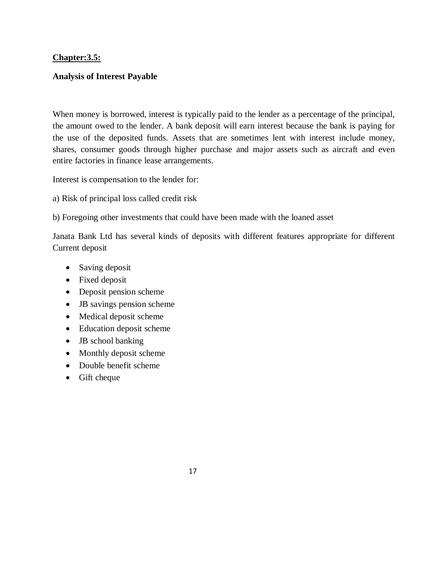#### **Chapter:3.5:**

#### **Analysis of Interest Payable**

When money is borrowed, interest is typically paid to the lender as a percentage of the principal, the amount owed to the lender. A bank deposit will earn interest because the bank is paying for the use of the deposited funds. Assets that are sometimes lent with interest include money, shares, consumer goods through higher purchase and major assets such as aircraft and even entire factories in finance lease arrangements.

Interest is compensation to the lender for:

- a) Risk of principal loss called credit risk
- b) Foregoing other investments that could have been made with the loaned asset

Janata Bank Ltd has several kinds of deposits with different features appropriate for different Current deposit

- Saving deposit
- Fixed deposit
- Deposit pension scheme
- JB savings pension scheme
- Medical deposit scheme
- Education deposit scheme
- JB school banking
- Monthly deposit scheme
- Double benefit scheme
- Gift cheque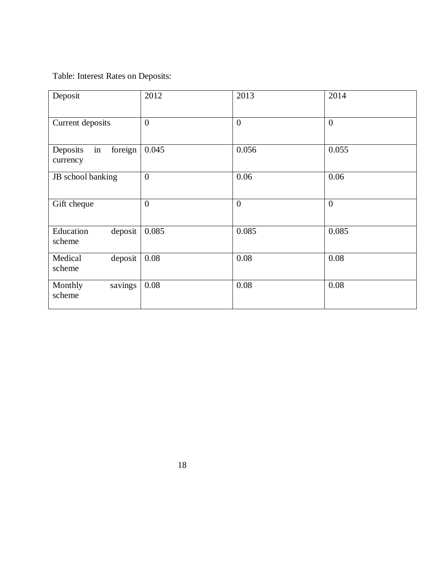Table: Interest Rates on Deposits:

| Deposit                               | 2012             | 2013           | 2014           |
|---------------------------------------|------------------|----------------|----------------|
| Current deposits                      | $\boldsymbol{0}$ | $\overline{0}$ | $\overline{0}$ |
| in<br>foreign<br>Deposits<br>currency | 0.045            | 0.056          | 0.055          |
| JB school banking                     | $\overline{0}$   | 0.06           | 0.06           |
| Gift cheque                           | $\overline{0}$   | $\overline{0}$ | $\overline{0}$ |
| deposit<br>Education<br>scheme        | 0.085            | 0.085          | 0.085          |
| deposit<br>Medical<br>scheme          | 0.08             | 0.08           | 0.08           |
| savings<br>Monthly<br>scheme          | 0.08             | 0.08           | 0.08           |

18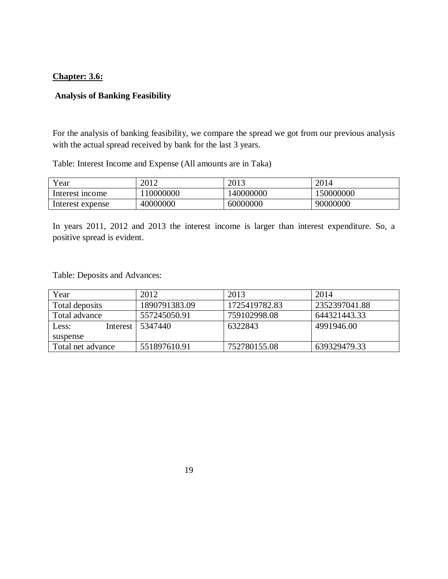#### **Chapter: 3.6:**

#### **Analysis of Banking Feasibility**

For the analysis of banking feasibility, we compare the spread we got from our previous analysis with the actual spread received by bank for the last 3 years.

Table: Interest Income and Expense (All amounts are in Taka)

| $v_{\text{ear}}$ | 2012      | 2013      | 2014      |
|------------------|-----------|-----------|-----------|
| Interest income  | 110000000 | 140000000 | 150000000 |
| Interest expense | 40000000  | 60000000  | 90000000  |

In years 2011, 2012 and 2013 the interest income is larger than interest expenditure. So, a positive spread is evident.

Table: Deposits and Advances:

| Year              | 2012          | 2013          | 2014          |
|-------------------|---------------|---------------|---------------|
| Total deposits    | 1890791383.09 | 1725419782.83 | 2352397041.88 |
| Total advance     | 557245050.91  | 759102998.08  | 644321443.33  |
| Less:<br>Interest | 5347440       | 6322843       | 4991946.00    |
| suspense          |               |               |               |
| Total net advance | 551897610.91  | 752780155.08  | 639329479.33  |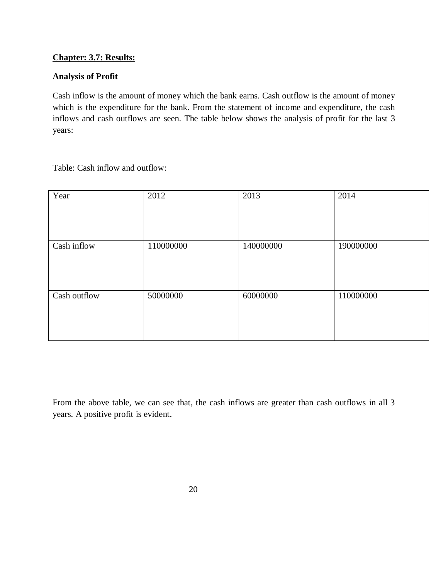#### **Chapter: 3.7: Results:**

#### **Analysis of Profit**

Cash inflow is the amount of money which the bank earns. Cash outflow is the amount of money which is the expenditure for the bank. From the statement of income and expenditure, the cash inflows and cash outflows are seen. The table below shows the analysis of profit for the last 3 years:

Table: Cash inflow and outflow:

| Year         | 2012      | 2013      | 2014      |
|--------------|-----------|-----------|-----------|
| Cash inflow  | 110000000 | 140000000 | 190000000 |
| Cash outflow | 50000000  | 60000000  | 110000000 |

From the above table, we can see that, the cash inflows are greater than cash outflows in all 3 years. A positive profit is evident.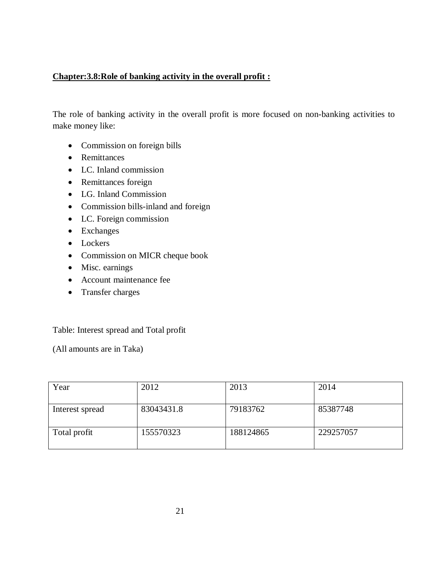#### **Chapter:3.8:Role of banking activity in the overall profit :**

The role of banking activity in the overall profit is more focused on non-banking activities to make money like:

- Commission on foreign bills
- Remittances
- LC. Inland commission
- Remittances foreign
- LG. Inland Commission
- Commission bills-inland and foreign
- LC. Foreign commission
- Exchanges
- Lockers
- Commission on MICR cheque book
- Misc. earnings
- Account maintenance fee
- Transfer charges

#### Table: Interest spread and Total profit

(All amounts are in Taka)

| Year            | 2012       | 2013      | 2014      |
|-----------------|------------|-----------|-----------|
| Interest spread | 83043431.8 | 79183762  | 85387748  |
| Total profit    | 155570323  | 188124865 | 229257057 |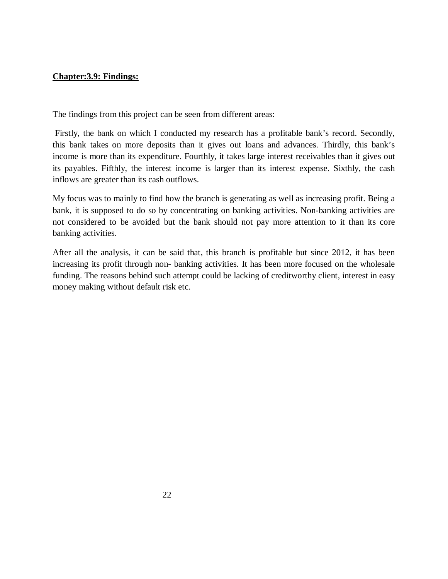#### **Chapter:3.9: Findings:**

The findings from this project can be seen from different areas:

Firstly, the bank on which I conducted my research has a profitable bank's record. Secondly, this bank takes on more deposits than it gives out loans and advances. Thirdly, this bank's income is more than its expenditure. Fourthly, it takes large interest receivables than it gives out its payables. Fifthly, the interest income is larger than its interest expense. Sixthly, the cash inflows are greater than its cash outflows.

My focus was to mainly to find how the branch is generating as well as increasing profit. Being a bank, it is supposed to do so by concentrating on banking activities. Non-banking activities are not considered to be avoided but the bank should not pay more attention to it than its core banking activities.

After all the analysis, it can be said that, this branch is profitable but since 2012, it has been increasing its profit through non- banking activities. It has been more focused on the wholesale funding. The reasons behind such attempt could be lacking of creditworthy client, interest in easy money making without default risk etc.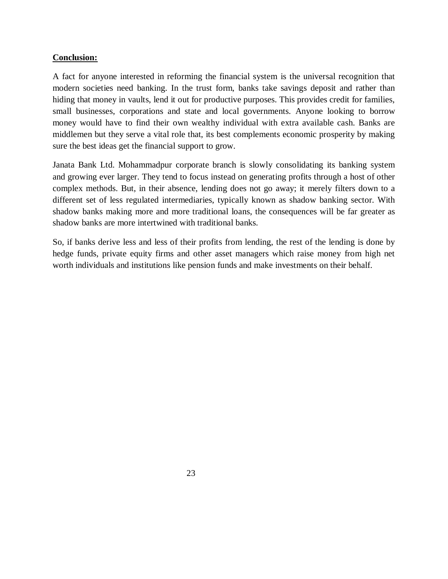#### **Conclusion:**

A fact for anyone interested in reforming the financial system is the universal recognition that modern societies need banking. In the trust form, banks take savings deposit and rather than hiding that money in vaults, lend it out for productive purposes. This provides credit for families, small businesses, corporations and state and local governments. Anyone looking to borrow money would have to find their own wealthy individual with extra available cash. Banks are middlemen but they serve a vital role that, its best complements economic prosperity by making sure the best ideas get the financial support to grow.

Janata Bank Ltd. Mohammadpur corporate branch is slowly consolidating its banking system and growing ever larger. They tend to focus instead on generating profits through a host of other complex methods. But, in their absence, lending does not go away; it merely filters down to a different set of less regulated intermediaries, typically known as shadow banking sector. With shadow banks making more and more traditional loans, the consequences will be far greater as shadow banks are more intertwined with traditional banks.

So, if banks derive less and less of their profits from lending, the rest of the lending is done by hedge funds, private equity firms and other asset managers which raise money from high net worth individuals and institutions like pension funds and make investments on their behalf.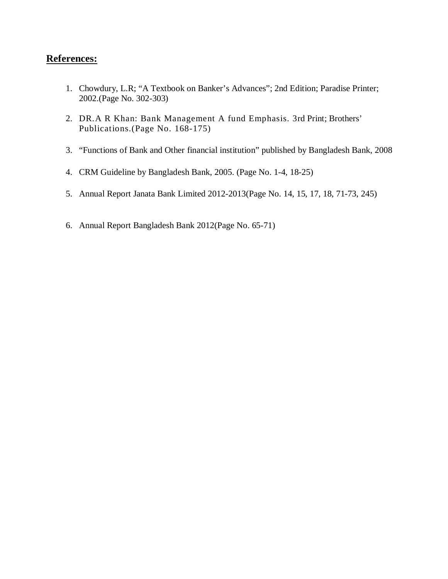### **References:**

- 1. Chowdury, L.R; "A Textbook on Banker's Advances"; 2nd Edition; Paradise Printer; 2002.(Page No. 302-303)
- 2. DR.A R Khan: Bank Management A fund Emphasis. 3rd Print; Brothers' Publications.(Page No. 168-175)
- 3. "Functions of Bank and Other financial institution" published by Bangladesh Bank, 2008
- 4. CRM Guideline by Bangladesh Bank, 2005. (Page No. 1-4, 18-25)
- 5. Annual Report Janata Bank Limited 2012-2013(Page No. 14, 15, 17, 18, 71-73, 245)
- 6. Annual Report Bangladesh Bank 2012(Page No. 65-71)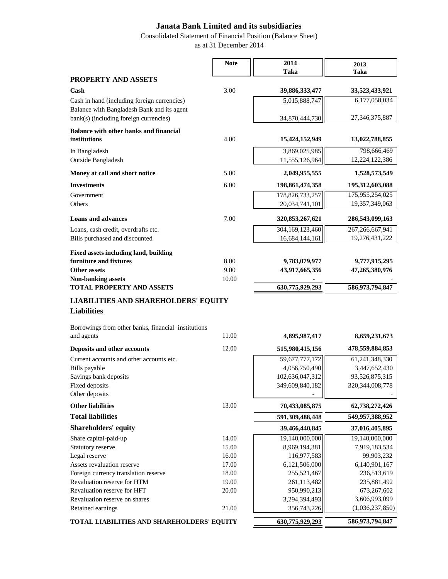Consolidated Statement of Financial Position (Balance Sheet)

 $\blacksquare$ 

as at 31 December 2014

 $-$ 

|                                                                                           | <b>Note</b> | 2014                            | 2013                            |
|-------------------------------------------------------------------------------------------|-------------|---------------------------------|---------------------------------|
|                                                                                           |             | Taka                            | Taka                            |
| PROPERTY AND ASSETS                                                                       |             |                                 |                                 |
| Cash                                                                                      | 3.00        | 39,886,333,477                  | 33,523,433,921                  |
| Cash in hand (including foreign currencies)<br>Balance with Bangladesh Bank and its agent |             | 5,015,888,747                   | 6,177,058,034                   |
| bank(s) (including foreign currencies)                                                    |             | 34,870,444,730                  | 27, 346, 375, 887               |
| <b>Balance with other banks and financial</b>                                             |             |                                 |                                 |
| institutions                                                                              | 4.00        | 15,424,152,949                  | 13,022,788,855                  |
| In Bangladesh                                                                             |             | 3,869,025,985                   | 798,666,469                     |
| Outside Bangladesh                                                                        |             | 11,555,126,964                  | 12,224,122,386                  |
| Money at call and short notice                                                            | 5.00        | 2,049,955,555                   | 1,528,573,549                   |
| <b>Investments</b>                                                                        | 6.00        | 198,861,474,358                 | 195,312,603,088                 |
| Government                                                                                |             | 178,826,733,257                 | 175,955,254,025                 |
| Others                                                                                    |             | 20,034,741,101                  | 19,357,349,063                  |
| <b>Loans and advances</b>                                                                 | 7.00        | 320, 853, 267, 621              | 286,543,099,163                 |
| Loans, cash credit, overdrafts etc.                                                       |             | 304,169,123,460                 | 267, 266, 667, 941              |
| Bills purchased and discounted                                                            |             | 16,684,144,161                  | 19,276,431,222                  |
| Fixed assets including land, building                                                     |             |                                 |                                 |
| furniture and fixtures                                                                    | 8.00        | 9,783,079,977                   | 9,777,915,295                   |
| <b>Other assets</b>                                                                       | 9.00        | 43,917,665,356                  | 47,265,380,976                  |
| <b>Non-banking assets</b>                                                                 | 10.00       |                                 |                                 |
| <b>TOTAL PROPERTY AND ASSETS</b>                                                          |             | 630,775,929,293                 | 586,973,794,847                 |
| <b>LIABILITIES AND SHAREHOLDERS' EQUITY</b>                                               |             |                                 |                                 |
| <b>Liabilities</b>                                                                        |             |                                 |                                 |
| Borrowings from other banks, financial institutions                                       |             |                                 |                                 |
| and agents                                                                                | 11.00       | 4,895,987,417                   | 8,659,231,673                   |
| Deposits and other accounts                                                               | 12.00       | 515,980,415,156                 | 478,559,884,853                 |
| Current accounts and other accounts etc.                                                  |             | 59,677,777,172                  | 61, 241, 348, 330               |
| Bills payable                                                                             |             | 4,056,750,490                   | 3,447,652,430                   |
| Savings bank deposits                                                                     |             | 102,636,047,312                 | 93,526,875,315                  |
| Fixed deposits<br>Other deposits                                                          |             | 349,609,840,182                 | 320, 344, 008, 778              |
| <b>Other liabilities</b>                                                                  | 13.00       | 70,433,085,875                  | 62,738,272,426                  |
| <b>Total liabilities</b>                                                                  |             | 591,309,488,448                 | 549,957,388,952                 |
| <b>Shareholders' equity</b>                                                               |             | 39,466,440,845                  | 37,016,405,895                  |
|                                                                                           | 14.00       |                                 |                                 |
| Share capital-paid-up<br>Statutory reserve                                                | 15.00       | 19,140,000,000<br>8,969,194,381 | 19,140,000,000<br>7,919,183,534 |
| Legal reserve                                                                             | 16.00       | 116,977,583                     | 99,903,232                      |
| Assets revaluation reserve                                                                | 17.00       | 6,121,506,000                   | 6,140,901,167                   |
| Foreign currency translation reserve                                                      | 18.00       | 255,521,467                     | 236,513,619                     |
| Revaluation reserve for HTM                                                               | 19.00       | 261,113,482                     | 235,881,492                     |
| Revaluation reserve for HFT                                                               | 20.00       | 950,990,213                     | 673,267,602                     |
| Revaluation reserve on shares                                                             |             | 3,294,394,493                   | 3,606,993,099                   |
| Retained earnings                                                                         | 21.00       | 356,743,226                     | (1,036,237,850)                 |
| TOTAL LIABILITIES AND SHAREHOLDERS' EQUITY                                                |             | 630,775,929,293                 | 586,973,794,847                 |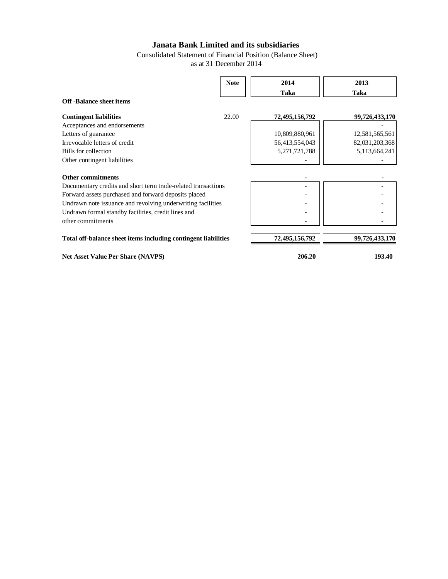Consolidated Statement of Financial Position (Balance Sheet) as at 31 December 2014

|                                                                | <b>Note</b> | 2014             | 2013           |
|----------------------------------------------------------------|-------------|------------------|----------------|
|                                                                |             | Taka             | Taka           |
| <b>Off-Balance sheet items</b>                                 |             |                  |                |
| <b>Contingent liabilities</b>                                  | 22.00       | 72,495,156,792   | 99,726,433,170 |
| Acceptances and endorsements                                   |             |                  |                |
| Letters of guarantee                                           |             | 10,809,880,961   | 12,581,565,561 |
| Irrevocable letters of credit                                  |             | 56,413,554,043   | 82,031,203,368 |
| Bills for collection                                           |             | 5, 271, 721, 788 | 5,113,664,241  |
| Other contingent liabilities                                   |             |                  |                |
| <b>Other commitments</b>                                       |             |                  |                |
| Documentary credits and short term trade-related transactions  |             |                  |                |
| Forward assets purchased and forward deposits placed           |             |                  |                |
| Undrawn note issuance and revolving underwriting facilities    |             |                  |                |
| Undrawn formal standby facilities, credit lines and            |             |                  |                |
| other commitments                                              |             |                  |                |
| Total off-balance sheet items including contingent liabilities |             | 72,495,156,792   | 99,726,433,170 |
|                                                                |             |                  |                |

**Net Asset Value Per Share (NAVPS) 206.20 193.40**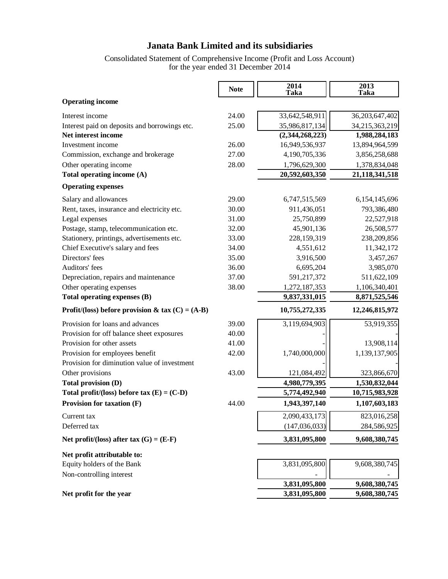Consolidated Statement of Comprehensive Income (Profit and Loss Account) for the year ended 31 December 2014

|                                                    | <b>Note</b> | 2014<br>Taka    | 2013<br>Taka      |
|----------------------------------------------------|-------------|-----------------|-------------------|
| <b>Operating income</b>                            |             |                 |                   |
| Interest income                                    | 24.00       | 33,642,548,911  | 36, 203, 647, 402 |
| Interest paid on deposits and borrowings etc.      | 25.00       | 35,986,817,134  | 34,215,363,219    |
| Net interest income                                |             | (2,344,268,223) | 1,988,284,183     |
| Investment income                                  | 26.00       | 16,949,536,937  | 13,894,964,599    |
| Commission, exchange and brokerage                 | 27.00       | 4,190,705,336   | 3,856,258,688     |
| Other operating income                             | 28.00       | 1,796,629,300   | 1,378,834,048     |
| Total operating income (A)                         |             | 20,592,603,350  | 21, 118, 341, 518 |
| <b>Operating expenses</b>                          |             |                 |                   |
| Salary and allowances                              | 29.00       | 6,747,515,569   | 6,154,145,696     |
| Rent, taxes, insurance and electricity etc.        | 30.00       | 911,436,051     | 793,386,480       |
| Legal expenses                                     | 31.00       | 25,750,899      | 22,527,918        |
| Postage, stamp, telecommunication etc.             | 32.00       | 45,901,136      | 26,508,577        |
| Stationery, printings, advertisements etc.         | 33.00       | 228,159,319     | 238,209,856       |
| Chief Executive's salary and fees                  | 34.00       | 4,551,612       | 11,342,172        |
| Directors' fees                                    | 35.00       | 3,916,500       | 3,457,267         |
| Auditors' fees                                     | 36.00       | 6,695,204       | 3,985,070         |
| Depreciation, repairs and maintenance              | 37.00       | 591,217,372     | 511,622,109       |
| Other operating expenses                           | 38.00       | 1,272,187,353   | 1,106,340,401     |
| Total operating expenses (B)                       |             | 9,837,331,015   | 8,871,525,546     |
| Profit/(loss) before provision & tax $(C) = (A-B)$ |             | 10,755,272,335  | 12,246,815,972    |
| Provision for loans and advances                   | 39.00       | 3,119,694,903   | 53,919,355        |
| Provision for off balance sheet exposures          | 40.00       |                 |                   |
| Provision for other assets                         | 41.00       |                 | 13,908,114        |
| Provision for employees benefit                    | 42.00       | 1,740,000,000   | 1,139,137,905     |
| Provision for diminution value of investment       |             |                 |                   |
| Other provisions                                   | 43.00       | 121,084,492     | 323,866,670       |
| Total provision (D)                                |             | 4,980,779,395   | 1,530,832,044     |
| Total profit/(loss) before tax $(E) = (C-D)$       |             | 5,774,492,940   | 10,715,983,928    |
| Provision for taxation (F)                         | 44.00       | 1,943,397,140   | 1,107,603,183     |
| Current tax                                        |             | 2,090,433,173   | 823,016,258       |
| Deferred tax                                       |             | (147, 036, 033) | 284,586,925       |
| Net profit/(loss) after tax $(G) = (E-F)$          |             | 3,831,095,800   | 9,608,380,745     |
| Net profit attributable to:                        |             |                 |                   |
| Equity holders of the Bank                         |             | 3,831,095,800   | 9,608,380,745     |
| Non-controlling interest                           |             |                 |                   |
|                                                    |             | 3,831,095,800   | 9,608,380,745     |
| Net profit for the year                            |             | 3,831,095,800   | 9,608,380,745     |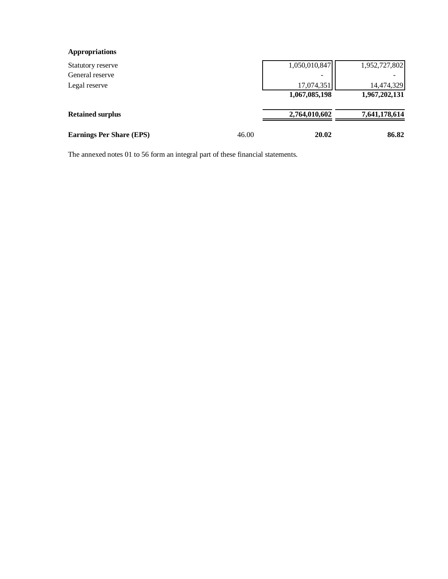#### **Appropriations**

| Statutory reserve               |       | 1,050,010,847 | 1,952,727,802 |
|---------------------------------|-------|---------------|---------------|
| General reserve                 |       |               |               |
| Legal reserve                   |       | 17,074,351    | 14,474,329    |
|                                 |       | 1,067,085,198 | 1,967,202,131 |
| <b>Retained surplus</b>         |       | 2,764,010,602 | 7,641,178,614 |
| <b>Earnings Per Share (EPS)</b> | 46.00 | 20.02         | 86.82         |

The annexed notes 01 to 56 form an integral part of these financial statements.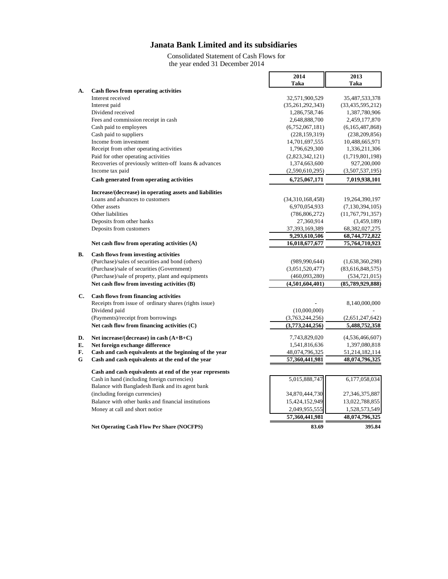Consolidated Statement of Cash Flows for the year ended 31 December 2014

'n

 $\blacksquare$ 

|    |                                                         | 2014              | 2013                |
|----|---------------------------------------------------------|-------------------|---------------------|
|    |                                                         | Taka              | Taka                |
| A. | Cash flows from operating activities                    |                   |                     |
|    | Interest received                                       | 32,571,900,529    | 35,487,533,378      |
|    | Interest paid                                           | (35,261,292,343)  | (33, 435, 595, 212) |
|    | Dividend received                                       | 1,286,758,746     | 1,387,780,906       |
|    | Fees and commission receipt in cash                     | 2,648,888,700     | 2,459,177,870       |
|    | Cash paid to employees                                  | (6,752,067,181)   | (6,165,487,868)     |
|    | Cash paid to suppliers                                  | (228, 159, 319)   | (238, 209, 856)     |
|    | Income from investment                                  | 14,701,697,555    | 10,488,665,971      |
|    | Receipt from other operating activities                 | 1,796,629,300     | 1,336,211,306       |
|    | Paid for other operating activities                     | (2,823,342,121)   | (1,719,801,198)     |
|    | Recoveries of previously written-off loans & advances   | 1,374,663,600     | 927,200,000         |
|    | Income tax paid                                         | (2,590,610,295)   | (3,507,537,195)     |
|    | Cash generated from operating activities                | 6,725,067,171     | 7,019,938,101       |
|    | Increase/(decrease) in operating assets and liabilities |                   |                     |
|    | Loans and advances to customers                         | (34,310,168,458)  | 19,264,390,197      |
|    | Other assets                                            | 6,970,054,933     | (7, 130, 394, 105)  |
|    | Other liabilities                                       | (786, 806, 272)   | (11, 767, 791, 357) |
|    | Deposits from other banks                               | 27,360,914        | (3,459,189)         |
|    | Deposits from customers                                 | 37, 393, 169, 389 | 68, 382, 027, 275   |
|    |                                                         | 9,293,610,506     | 68,744,772,822      |
|    | Net cash flow from operating activities (A)             | 16,018,677,677    | 75,764,710,923      |
| В. | <b>Cash flows from investing activities</b>             |                   |                     |
|    | (Purchase)/sales of securities and bond (others)        | (989, 990, 644)   | (1,638,360,298)     |
|    | (Purchase)/sale of securities (Government)              | (3,051,520,477)   | (83,616,848,575)    |
|    | (Purchase)/sale of property, plant and equipments       | (460,093,280)     | (534, 721, 015)     |
|    | Net cash flow from investing activities (B)             | (4,501,604,401)   | (85,789,929,888)    |
| C. | <b>Cash flows from financing activities</b>             |                   |                     |
|    | Receipts from issue of ordinary shares (rights issue)   |                   | 8,140,000,000       |
|    | Dividend paid                                           | (10,000,000)      |                     |
|    | (Payments)/receipt from borrowings                      | (3,763,244,256)   | (2,651,247,642)     |
|    | Net cash flow from financing activities (C)             | (3,773,244,256)   | 5,488,752,358       |
| D. | Net increase/(decrease) in cash (A+B+C)                 | 7,743,829,020     | (4,536,466,607)     |
| E. | Net foreign exchange difference                         | 1,541,816,636     | 1,397,080,818       |
| F. | Cash and cash equivalents at the beginning of the year  | 48,074,796,325    | 51,214,182,114      |
| G  | Cash and cash equivalents at the end of the year        | 57,360,441,981    | 48,074,796,325      |
|    | Cash and cash equivalents at end of the year represents |                   |                     |
|    | Cash in hand (including foreign currencies)             | 5,015,888,747     | 6,177,058,034       |
|    | Balance with Bangladesh Bank and its agent bank         |                   |                     |
|    | (including foreign currencies)                          | 34,870,444,730    | 27,346,375,887      |
|    | Balance with other banks and financial institutions     | 15,424,152,949    | 13,022,788,855      |
|    | Money at call and short notice                          | 2,049,955,555     | 1,528,573,549       |
|    |                                                         | 57,360,441,981    | 48,074,796,325      |
|    | <b>Net Operating Cash Flow Per Share (NOCFPS)</b>       | 83.69             | 395.84              |
|    |                                                         |                   |                     |